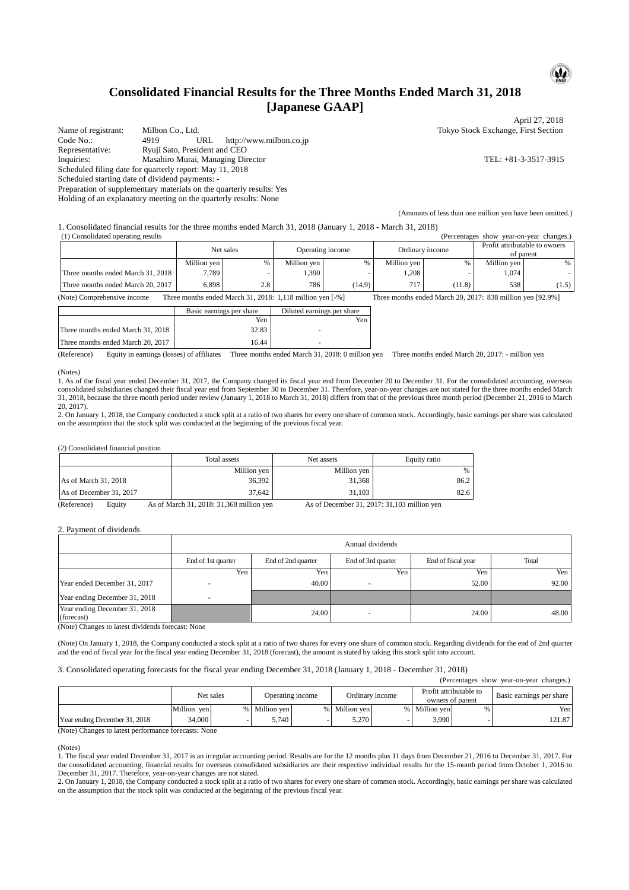### **Consolidated Financial Results for the Three Months Ended March 31, 2018 [Japanese GAAP]**

Name of registrant: Milbon Co., Ltd. Tokyo Stock Exchange, First Section<br>
Code No.: 4919 URL http://www.milbon.co.ip http://www.milbon.co.jp Representative: Ryuji Sato, President and CEO Inquiries: Masahiro Murai, Managing Director TEL: +81-3-3517-3915 Scheduled filing date for quarterly report: May 11, 2018 Scheduled starting date of dividend payments: - Preparation of supplementary materials on the quarterly results: Yes

Holding of an explanatory meeting on the quarterly results: None

 $\mathbf{P}$ 

April 27, 2018

(Amounts of less than one million yen have been omitted.)

1. Consolidated financial results for the three months ended March 31, 2018 (January 1, 2018 - March 31, 2018)

| (1) Consolidated operating results<br>(Percentages show year-on-year changes.) |                                   |             |      |                  |        |                 |        |                                            |       |
|--------------------------------------------------------------------------------|-----------------------------------|-------------|------|------------------|--------|-----------------|--------|--------------------------------------------|-------|
|                                                                                |                                   | Net sales   |      | Operating income |        | Ordinary income |        | Profit attributable to owners<br>of parent |       |
|                                                                                |                                   | Million yen | $\%$ | Million ven      |        | Million yen     | $\%$   | Million ven                                | $\%$  |
|                                                                                | Three months ended March 31, 2018 | 7.789       |      | 1,390            |        | .208            |        | 1,074                                      |       |
|                                                                                | Three months ended March 20, 2017 | 6.898       | 2.8  | 786              | (14.9) | 717             | (11.8) | 538                                        | (1.5) |

(Note) Comprehensive income Three months ended March 31, 2018: 1,118 million yen [-%] Three months ended March 20, 2017: 838 million yen [92.9%]

|                                   | Basic earnings per share | Diluted earnings per share |
|-----------------------------------|--------------------------|----------------------------|
|                                   | Yen                      | Yen                        |
| Three months ended March 31, 2018 | 32.83                    |                            |
| Three months ended March 20, 2017 | 16.44                    |                            |

(Reference) Equity in earnings (losses) of affiliates Three months ended March 31, 2018: 0 million yen Three months ended March 20, 2017: - million yen

#### (Notes)

1. As of the fiscal year ended December 31, 2017, the Company changed its fiscal year end from December 20 to December 31. For the consolidated accounting, overseas consolidated subsidiaries changed their fiscal year end from September 30 to December 31. Therefore, year-on-year changes are not stated for the three months ended March 31, 2018, because the three month period under review (January 1, 2018 to March 31, 2018) differs from that of the previous three month period (December 21, 2016 to March 20, 2017).

2. On January 1, 2018, the Company conducted a stock split at a ratio of two shares for every one share of common stock. Accordingly, basic earnings per share was calculated on the assumption that the stock split was conducted at the beginning of the previous fiscal year.

(2) Consolidated financial position

|                         | Total assets                             | Net assets  | Equity ratio                                 |
|-------------------------|------------------------------------------|-------------|----------------------------------------------|
|                         | Million yen                              | Million yen | %                                            |
| As of March 31, 2018    | 36.392                                   | 31.368      | 86.2                                         |
| As of December 31, 2017 | 37.642                                   | 31.103      | 82.6                                         |
| (Reference)<br>Equity   | As of March 31, 2018: 31,368 million yen |             | As of December 31, 2017: 31, 103 million yen |

2. Payment of dividends

|                                             | Annual dividends   |                    |                    |                    |       |  |  |
|---------------------------------------------|--------------------|--------------------|--------------------|--------------------|-------|--|--|
|                                             | End of 1st quarter | End of 2nd quarter | End of 3rd quarter | End of fiscal year | Total |  |  |
|                                             | Yen                | Yen                | Yen                | Yen                | Yen   |  |  |
| Year ended December 31, 2017                |                    | 40.00              |                    | 52.00              | 92.00 |  |  |
| Year ending December 31, 2018               |                    |                    |                    |                    |       |  |  |
| Year ending December 31, 2018<br>(forecast) |                    | 24.00              | ۰                  | 24.00              | 48.00 |  |  |

(Note) Changes to latest dividends forecast: None

(Note) On January 1, 2018, the Company conducted a stock split at a ratio of two shares for every one share of common stock. Regarding dividends for the end of 2nd quarter and the end of fiscal year for the fiscal year ending December 31, 2018 (forecast), the amount is stated by taking this stock split into account.

3. Consolidated operating forecasts for the fiscal year ending December 31, 2018 (January 1, 2018 - December 31, 2018)

| (Percentages snow year-on-year changes.) |             |                               |             |                 |             |                                            |               |                          |        |
|------------------------------------------|-------------|-------------------------------|-------------|-----------------|-------------|--------------------------------------------|---------------|--------------------------|--------|
|                                          |             | Net sales<br>Operating income |             | Ordinary income |             | Profit attributable to<br>owners of parent |               | Basic earnings per share |        |
|                                          | Million ven | $\%$                          | Million ven |                 | Million ven |                                            | % Million ven | %                        | Yen    |
| Year ending December 31, 2018            | 34,000      |                               | 5.740       |                 | 5.270       |                                            | 3.990         |                          | 121.87 |

(Note) Changes to latest performance forecasts: None

(Notes)

1. The fiscal year ended December 31, 2017 is an irregular accounting period. Results are for the 12 months plus 11 days from December 21, 2016 to December 31, 2017. For the consolidated accounting, financial results for overseas consolidated subsidiaries are their respective individual results for the 15-month period from October 1, 2016 to December 31, 2017. Therefore, year-on-year changes are not stated.

2. On January 1, 2018, the Company conducted a stock split at a ratio of two shares for every one share of common stock. Accordingly, basic earnings per share was calculated on the assumption that the stock split was conducted at the beginning of the previous fiscal year.

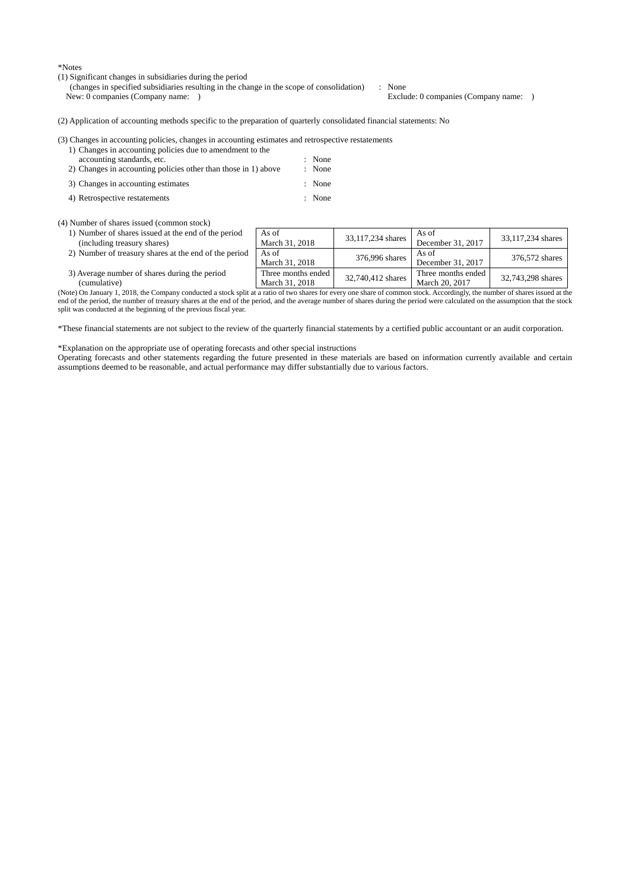\*Notes

(1) Significant changes in subsidiaries during the period

(changes in specified subsidiaries resulting in the change in the scope of consolidation) : None New: 0 companies (Company name: ) Exclude: 0 companies (Company name: )

(2) Application of accounting methods specific to the preparation of quarterly consolidated financial statements: No

(3) Changes in accounting policies, changes in accounting estimates and retrospective restatements

| 1) Changes in accounting policies due to amendment to the      |        |
|----------------------------------------------------------------|--------|
| accounting standards, etc.                                     | : None |
| 2) Changes in accounting policies other than those in 1) above | : None |
| 3) Changes in accounting estimates                             | : None |
| 4) Retrospective restatements                                  | : None |

(4) Number of shares issued (common stock)

- 1) Number of shares issued at the end of the period (including treasury shares)
- 2) Number of treasury shares at the end of the period As of
- As of<br>March 31, 2018 33, 117, 234 shares  $\left| \begin{array}{c} \text{As of} \\ \text{S} \end{array} \right|$ As of<br>December 31, 2017 33,117,234 shares As of March 31, 2018 376,996 shares  $\begin{array}{c} \begin{array}{c} \text{As of} \\ \text{December} \end{array} \end{array}$ As of Becember 31, 2017 376,572 shares 3) Average number of shares during the period Three months ended Three months ended<br>March 31, 2018 32,740,412 shares<br>March 20, 2017 March 20, 2017 32,743,298 shares

(cumulative) (Note) On January 1, 2018, the Company conducted a stock split at a ratio of two shares for every one share of common stock. Accordingly, the number of shares issued at the end of the period, the number of treasury shares at the end of the period, and the average number of shares during the period were calculated on the assumption that the stock split was conducted at the beginning of the previous fiscal year.

\*These financial statements are not subject to the review of the quarterly financial statements by a certified public accountant or an audit corporation.

\*Explanation on the appropriate use of operating forecasts and other special instructions

Operating forecasts and other statements regarding the future presented in these materials are based on information currently available and certain assumptions deemed to be reasonable, and actual performance may differ substantially due to various factors.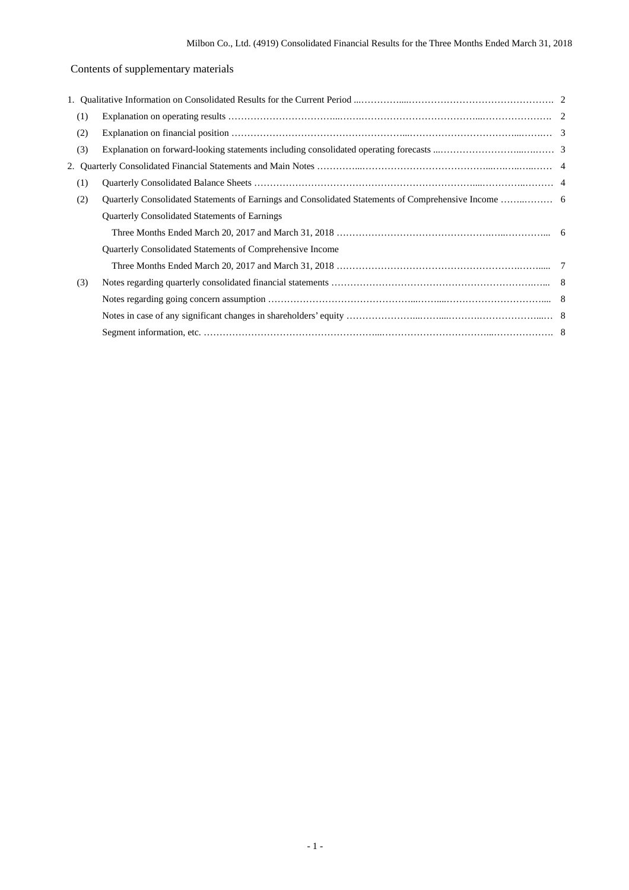## Contents of supplementary materials

| (1) |                                                           |  |  |  |  |  |  |
|-----|-----------------------------------------------------------|--|--|--|--|--|--|
| (2) |                                                           |  |  |  |  |  |  |
| (3) |                                                           |  |  |  |  |  |  |
| 2.  |                                                           |  |  |  |  |  |  |
| (1) |                                                           |  |  |  |  |  |  |
| (2) |                                                           |  |  |  |  |  |  |
|     | <b>Quarterly Consolidated Statements of Earnings</b>      |  |  |  |  |  |  |
|     |                                                           |  |  |  |  |  |  |
|     | Quarterly Consolidated Statements of Comprehensive Income |  |  |  |  |  |  |
|     |                                                           |  |  |  |  |  |  |
| (3) |                                                           |  |  |  |  |  |  |
|     |                                                           |  |  |  |  |  |  |
|     |                                                           |  |  |  |  |  |  |
|     |                                                           |  |  |  |  |  |  |
|     |                                                           |  |  |  |  |  |  |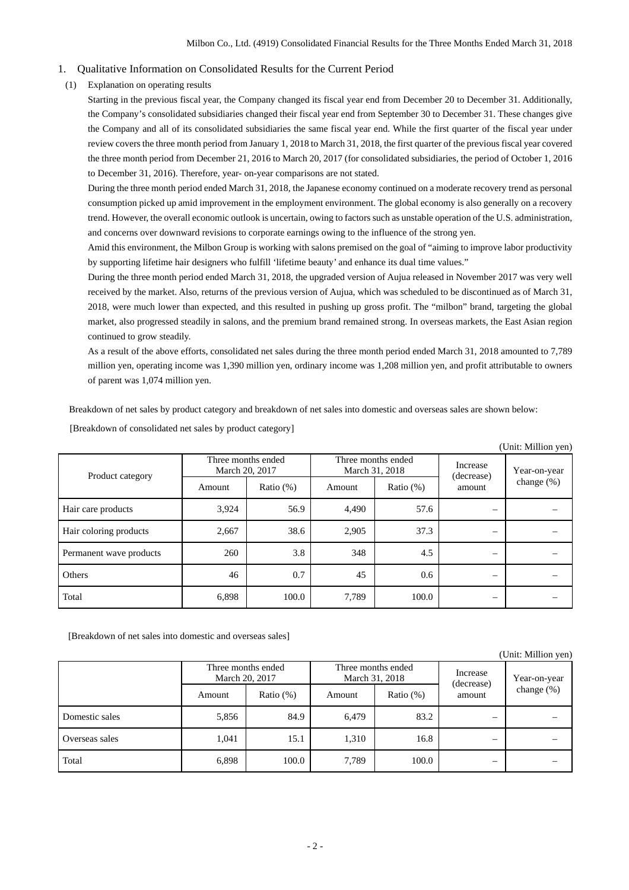- 1. Qualitative Information on Consolidated Results for the Current Period
- (1) Explanation on operating results

Starting in the previous fiscal year, the Company changed its fiscal year end from December 20 to December 31. Additionally, the Company's consolidated subsidiaries changed their fiscal year end from September 30 to December 31. These changes give the Company and all of its consolidated subsidiaries the same fiscal year end. While the first quarter of the fiscal year under review covers the three month period from January 1, 2018 to March 31, 2018, the first quarter of the previous fiscal year covered the three month period from December 21, 2016 to March 20, 2017 (for consolidated subsidiaries, the period of October 1, 2016 to December 31, 2016). Therefore, year- on-year comparisons are not stated.

During the three month period ended March 31, 2018, the Japanese economy continued on a moderate recovery trend as personal consumption picked up amid improvement in the employment environment. The global economy is also generally on a recovery trend. However, the overall economic outlook is uncertain, owing to factors such as unstable operation of the U.S. administration, and concerns over downward revisions to corporate earnings owing to the influence of the strong yen.

Amid this environment, the Milbon Group is working with salons premised on the goal of "aiming to improve labor productivity by supporting lifetime hair designers who fulfill 'lifetime beauty' and enhance its dual time values."

During the three month period ended March 31, 2018, the upgraded version of Aujua released in November 2017 was very well received by the market. Also, returns of the previous version of Aujua, which was scheduled to be discontinued as of March 31, 2018, were much lower than expected, and this resulted in pushing up gross profit. The "milbon" brand, targeting the global market, also progressed steadily in salons, and the premium brand remained strong. In overseas markets, the East Asian region continued to grow steadily.

As a result of the above efforts, consolidated net sales during the three month period ended March 31, 2018 amounted to 7,789 million yen, operating income was 1,390 million yen, ordinary income was 1,208 million yen, and profit attributable to owners of parent was 1,074 million yen.

Breakdown of net sales by product category and breakdown of net sales into domestic and overseas sales are shown below:

|                         |                                      |              |        |                                      |                                  | (Unit: Million yen)           |
|-------------------------|--------------------------------------|--------------|--------|--------------------------------------|----------------------------------|-------------------------------|
| Product category        | Three months ended<br>March 20, 2017 |              |        | Three months ended<br>March 31, 2018 | Increase<br>(decrease)<br>amount | Year-on-year<br>change $(\%)$ |
|                         | Amount                               | Ratio $(\%)$ | Amount | Ratio $(\%)$                         |                                  |                               |
| Hair care products      | 3,924                                | 56.9         | 4,490  | 57.6                                 | $\overline{\phantom{0}}$         |                               |
| Hair coloring products  | 2,667                                | 38.6         | 2,905  | 37.3                                 | -                                |                               |
| Permanent wave products | 260                                  | 3.8          | 348    | 4.5                                  | $\overline{\phantom{0}}$         |                               |
| Others                  | 46                                   | 0.7          | 45     | 0.6                                  |                                  |                               |
| Total                   | 6,898                                | 100.0        | 7,789  | 100.0                                |                                  |                               |

[Breakdown of consolidated net sales by product category]

[Breakdown of net sales into domestic and overseas sales]

|                |                                      |              |                                      |              |                          | (Unit: Million yen) |
|----------------|--------------------------------------|--------------|--------------------------------------|--------------|--------------------------|---------------------|
|                | Three months ended<br>March 20, 2017 |              | Three months ended<br>March 31, 2018 |              | Increase<br>(decrease)   | Year-on-year        |
|                | Amount                               | Ratio $(\%)$ | Amount                               | Ratio $(\%)$ | amount                   | change $(\%)$       |
| Domestic sales | 5,856                                | 84.9         | 6,479                                | 83.2         |                          |                     |
| Overseas sales | 1,041                                | 15.1         | 1,310                                | 16.8         | $\overline{\phantom{0}}$ |                     |
| Total          | 6,898                                | 100.0        | 7,789                                | 100.0        | –                        |                     |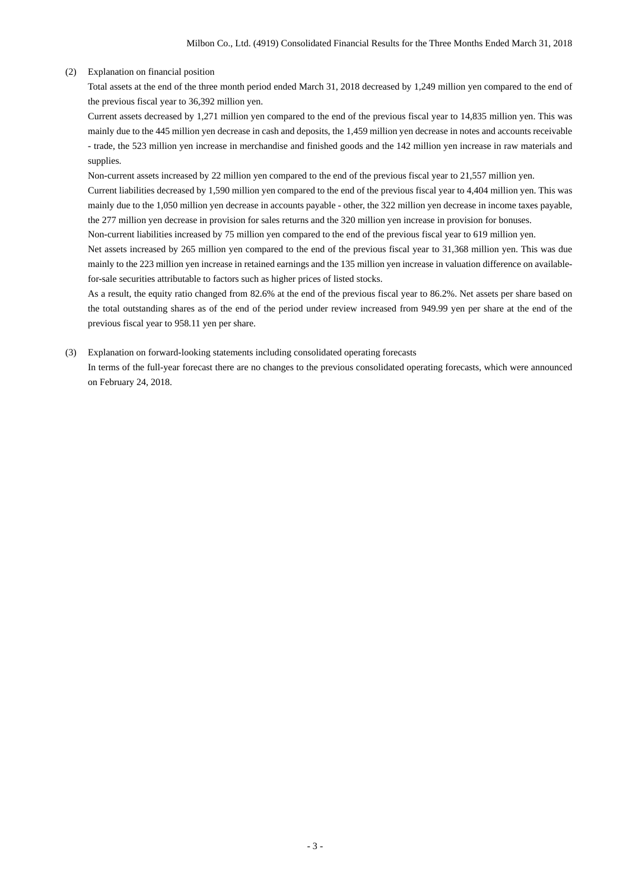### (2) Explanation on financial position

Total assets at the end of the three month period ended March 31, 2018 decreased by 1,249 million yen compared to the end of the previous fiscal year to 36,392 million yen.

Current assets decreased by 1,271 million yen compared to the end of the previous fiscal year to 14,835 million yen. This was mainly due to the 445 million yen decrease in cash and deposits, the 1,459 million yen decrease in notes and accounts receivable - trade, the 523 million yen increase in merchandise and finished goods and the 142 million yen increase in raw materials and supplies.

Non-current assets increased by 22 million yen compared to the end of the previous fiscal year to 21,557 million yen.

Current liabilities decreased by 1,590 million yen compared to the end of the previous fiscal year to 4,404 million yen. This was mainly due to the 1,050 million yen decrease in accounts payable - other, the 322 million yen decrease in income taxes payable, the 277 million yen decrease in provision for sales returns and the 320 million yen increase in provision for bonuses.

Non-current liabilities increased by 75 million yen compared to the end of the previous fiscal year to 619 million yen.

Net assets increased by 265 million yen compared to the end of the previous fiscal year to 31,368 million yen. This was due mainly to the 223 million yen increase in retained earnings and the 135 million yen increase in valuation difference on availablefor-sale securities attributable to factors such as higher prices of listed stocks.

As a result, the equity ratio changed from 82.6% at the end of the previous fiscal year to 86.2%. Net assets per share based on the total outstanding shares as of the end of the period under review increased from 949.99 yen per share at the end of the previous fiscal year to 958.11 yen per share.

(3) Explanation on forward-looking statements including consolidated operating forecasts

In terms of the full-year forecast there are no changes to the previous consolidated operating forecasts, which were announced on February 24, 2018.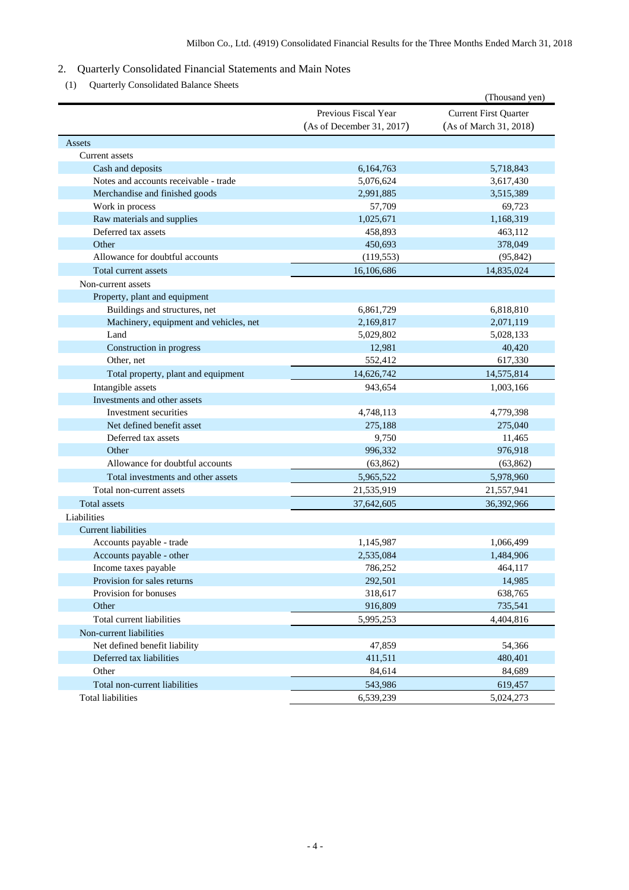### 2. Quarterly Consolidated Financial Statements and Main Notes

(1) Quarterly Consolidated Balance Sheets

|                                        |                                                   | (Thousand yen)                                         |
|----------------------------------------|---------------------------------------------------|--------------------------------------------------------|
|                                        | Previous Fiscal Year<br>(As of December 31, 2017) | <b>Current First Quarter</b><br>(As of March 31, 2018) |
| Assets                                 |                                                   |                                                        |
| Current assets                         |                                                   |                                                        |
| Cash and deposits                      | 6,164,763                                         | 5,718,843                                              |
| Notes and accounts receivable - trade  | 5,076,624                                         | 3,617,430                                              |
| Merchandise and finished goods         | 2,991,885                                         | 3,515,389                                              |
| Work in process                        | 57,709                                            | 69,723                                                 |
| Raw materials and supplies             | 1,025,671                                         | 1,168,319                                              |
| Deferred tax assets                    | 458,893                                           | 463,112                                                |
| Other                                  | 450,693                                           | 378,049                                                |
| Allowance for doubtful accounts        | (119, 553)                                        | (95, 842)                                              |
| Total current assets                   | 16,106,686                                        | 14,835,024                                             |
| Non-current assets                     |                                                   |                                                        |
| Property, plant and equipment          |                                                   |                                                        |
| Buildings and structures, net          | 6,861,729                                         | 6,818,810                                              |
| Machinery, equipment and vehicles, net | 2,169,817                                         | 2,071,119                                              |
| Land                                   | 5,029,802                                         | 5,028,133                                              |
| Construction in progress               | 12,981                                            | 40,420                                                 |
| Other, net                             | 552,412                                           | 617,330                                                |
| Total property, plant and equipment    | 14,626,742                                        | 14,575,814                                             |
| Intangible assets                      | 943,654                                           | 1,003,166                                              |
| Investments and other assets           |                                                   |                                                        |
| Investment securities                  | 4,748,113                                         | 4,779,398                                              |
| Net defined benefit asset              | 275,188                                           | 275,040                                                |
| Deferred tax assets                    | 9,750                                             | 11,465                                                 |
| Other                                  | 996,332                                           | 976,918                                                |
| Allowance for doubtful accounts        | (63, 862)                                         | (63, 862)                                              |
| Total investments and other assets     | 5,965,522                                         | 5,978,960                                              |
| Total non-current assets               | 21,535,919                                        | 21,557,941                                             |
| <b>Total assets</b>                    | 37,642,605                                        | 36,392,966                                             |
| Liabilities                            |                                                   |                                                        |
| <b>Current liabilities</b>             |                                                   |                                                        |
| Accounts payable - trade               | 1,145,987                                         | 1,066,499                                              |
| Accounts payable - other               | 2,535,084                                         | 1,484,906                                              |
| Income taxes payable                   | 786,252                                           | 464,117                                                |
| Provision for sales returns            | 292,501                                           | 14,985                                                 |
| Provision for bonuses                  | 318,617                                           | 638,765                                                |
| Other                                  | 916,809                                           | 735,541                                                |
| Total current liabilities              | 5,995,253                                         | 4,404,816                                              |
| Non-current liabilities                |                                                   |                                                        |
| Net defined benefit liability          | 47,859                                            | 54,366                                                 |
| Deferred tax liabilities               | 411,511                                           | 480,401                                                |
| Other                                  | 84,614                                            | 84,689                                                 |
| Total non-current liabilities          | 543,986                                           | 619,457                                                |
| <b>Total liabilities</b>               | 6,539,239                                         | 5,024,273                                              |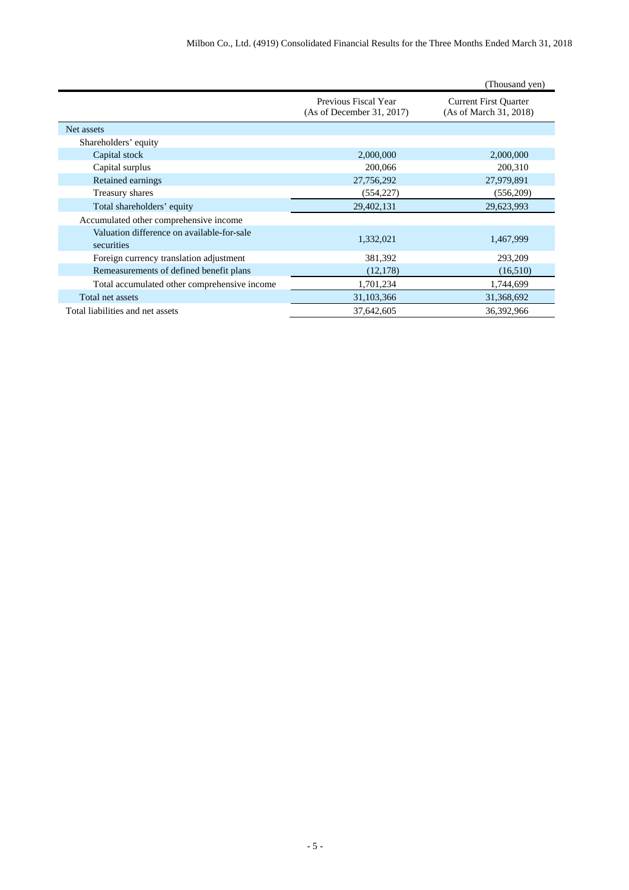|                                                          |                                                   | (Thousand yen)                                         |
|----------------------------------------------------------|---------------------------------------------------|--------------------------------------------------------|
|                                                          | Previous Fiscal Year<br>(As of December 31, 2017) | <b>Current First Quarter</b><br>(As of March 31, 2018) |
| Net assets                                               |                                                   |                                                        |
| Shareholders' equity                                     |                                                   |                                                        |
| Capital stock                                            | 2,000,000                                         | 2,000,000                                              |
| Capital surplus                                          | 200,066                                           | 200,310                                                |
| Retained earnings                                        | 27,756,292                                        | 27,979,891                                             |
| Treasury shares                                          | (554, 227)                                        | (556, 209)                                             |
| Total shareholders' equity                               | 29,402,131                                        | 29,623,993                                             |
| Accumulated other comprehensive income                   |                                                   |                                                        |
| Valuation difference on available-for-sale<br>securities | 1,332,021                                         | 1,467,999                                              |
| Foreign currency translation adjustment                  | 381,392                                           | 293,209                                                |
| Remeasurements of defined benefit plans                  | (12, 178)                                         | (16,510)                                               |
| Total accumulated other comprehensive income             | 1,701,234                                         | 1,744,699                                              |
| Total net assets                                         | 31,103,366                                        | 31,368,692                                             |
| Total liabilities and net assets                         | 37,642,605                                        | 36,392,966                                             |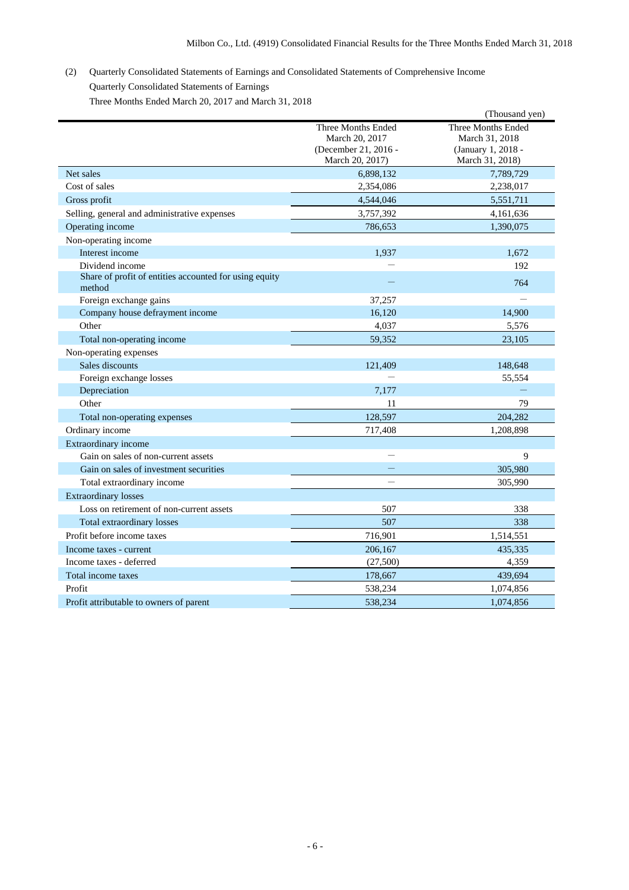# (2) Quarterly Consolidated Statements of Earnings and Consolidated Statements of Comprehensive Income Quarterly Consolidated Statements of Earnings

Three Months Ended March 20, 2017 and March 31, 2018

|                                                                  |                      | (Thousand yen)     |
|------------------------------------------------------------------|----------------------|--------------------|
|                                                                  | Three Months Ended   | Three Months Ended |
|                                                                  | March 20, 2017       | March 31, 2018     |
|                                                                  | (December 21, 2016 - | (January 1, 2018 - |
|                                                                  | March 20, 2017)      | March 31, 2018)    |
| Net sales                                                        | 6,898,132            | 7,789,729          |
| Cost of sales                                                    | 2,354,086            | 2,238,017          |
| Gross profit                                                     | 4,544,046            | 5,551,711          |
| Selling, general and administrative expenses                     | 3,757,392            | 4,161,636          |
| Operating income                                                 | 786.653              | 1,390,075          |
| Non-operating income                                             |                      |                    |
| Interest income                                                  | 1,937                | 1,672              |
| Dividend income                                                  |                      | 192                |
| Share of profit of entities accounted for using equity<br>method |                      | 764                |
| Foreign exchange gains                                           | 37,257               |                    |
| Company house defrayment income                                  | 16,120               | 14.900             |
| Other                                                            | 4,037                | 5,576              |
| Total non-operating income                                       | 59,352               | 23,105             |
| Non-operating expenses                                           |                      |                    |
| Sales discounts                                                  | 121,409              | 148,648            |
| Foreign exchange losses                                          |                      | 55,554             |
| Depreciation                                                     | 7,177                |                    |
| Other                                                            | 11                   | 79                 |
| Total non-operating expenses                                     | 128,597              | 204,282            |
| Ordinary income                                                  | 717,408              | 1,208,898          |
| Extraordinary income                                             |                      |                    |
| Gain on sales of non-current assets                              |                      | 9                  |
| Gain on sales of investment securities                           |                      | 305,980            |
| Total extraordinary income                                       |                      | 305,990            |
| <b>Extraordinary losses</b>                                      |                      |                    |
| Loss on retirement of non-current assets                         | 507                  | 338                |
| <b>Total extraordinary losses</b>                                | 507                  | 338                |
| Profit before income taxes                                       | 716,901              | 1,514,551          |
| Income taxes - current                                           | 206,167              | 435,335            |
| Income taxes - deferred                                          | (27,500)             | 4,359              |
| Total income taxes                                               | 178,667              | 439,694            |
| Profit                                                           | 538,234              | 1,074,856          |
| Profit attributable to owners of parent                          | 538.234              | 1,074,856          |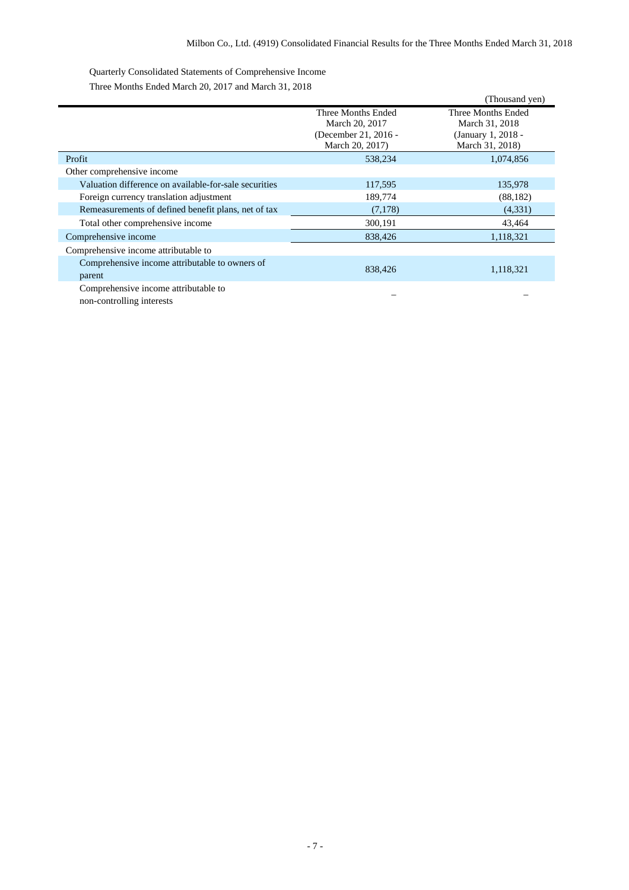Quarterly Consolidated Statements of Comprehensive Income

Three Months Ended March 20, 2017 and March 31, 2018

|                                                       |                                         | (Thousand yen)                        |
|-------------------------------------------------------|-----------------------------------------|---------------------------------------|
|                                                       | Three Months Ended<br>March 20, 2017    | Three Months Ended<br>March 31, 2018  |
|                                                       | (December 21, 2016 -<br>March 20, 2017) | (January 1, 2018 -<br>March 31, 2018) |
| Profit                                                | 538,234                                 | 1,074,856                             |
| Other comprehensive income                            |                                         |                                       |
| Valuation difference on available-for-sale securities | 117,595                                 | 135,978                               |
| Foreign currency translation adjustment               | 189,774                                 | (88, 182)                             |
| Remeasurements of defined benefit plans, net of tax   | (7,178)                                 | (4,331)                               |
| Total other comprehensive income                      | 300,191                                 | 43,464                                |
| Comprehensive income                                  | 838,426                                 | 1,118,321                             |
| Comprehensive income attributable to                  |                                         |                                       |
| Comprehensive income attributable to owners of        | 838,426                                 | 1,118,321                             |
| parent                                                |                                         |                                       |
| Comprehensive income attributable to                  |                                         |                                       |

non-controlling interests – –